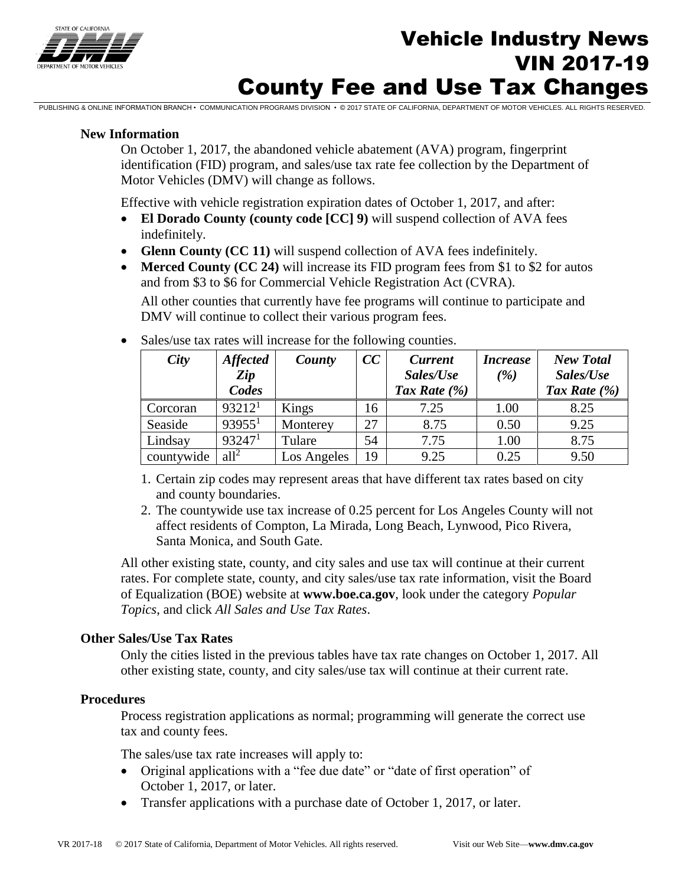

# **Vehicle Industry News**<br>
The *News* VIN 2017-19 County Fee and Use Tax Changes

PUBLISHING & ONLINE INFORMATION BRANCH • COMMUNICATION PROGRAMS DIVISION • © 2017 STATE OF CALIFORNIA, DEPARTMENT OF MOTOR VEHICLES. ALL RIGHTS RESERVED.

#### **New Information**

On October 1, 2017, the abandoned vehicle abatement (AVA) program, fingerprint identification (FID) program, and sales/use tax rate fee collection by the Department of Motor Vehicles (DMV) will change as follows.

Effective with vehicle registration expiration dates of October 1, 2017, and after:

- **El Dorado County (county code [CC] 9)** will suspend collection of AVA fees indefinitely.
- **Glenn County (CC 11)** will suspend collection of AVA fees indefinitely.
- Merced County (CC 24) will increase its FID program fees from \$1 to \$2 for autos and from \$3 to \$6 for Commercial Vehicle Registration Act (CVRA).

All other counties that currently have fee programs will continue to participate and DMV will continue to collect their various program fees.

| City       | <b>Affected</b><br>Zip<br>Codes | County      | CC | <b>Current</b><br>Sales/Use<br>Tax Rate $(\%)$ | <b>Increase</b><br>( %) | <b>New Total</b><br>Sales/Use<br>Tax Rate $(\% )$ |
|------------|---------------------------------|-------------|----|------------------------------------------------|-------------------------|---------------------------------------------------|
| Corcoran   | 93212 <sup>1</sup>              | Kings       | 16 | 7.25                                           | 1.00                    | 8.25                                              |
| Seaside    | 93955 <sup>1</sup>              | Monterey    | 27 | 8.75                                           | 0.50                    | 9.25                                              |
| Lindsay    | 93247 <sup>1</sup>              | Tulare      | 54 | 7.75                                           | 1.00                    | 8.75                                              |
| countywide | all <sup>2</sup>                | Los Angeles | 19 | 9.25                                           | 0.25                    | 9.50                                              |

• Sales/use tax rates will increase for the following counties.

- 1. Certain zip codes may represent areas that have different tax rates based on city and county boundaries.
- 2. The countywide use tax increase of 0.25 percent for Los Angeles County will not affect residents of Compton, La Mirada, Long Beach, Lynwood, Pico Rivera, Santa Monica, and South Gate.

All other existing state, county, and city sales and use tax will continue at their current rates. For complete state, county, and city sales/use tax rate information, visit the Board of Equalization (BOE) website at **www.boe.ca.gov**, look under the category *Popular Topics*, and click *All Sales and Use Tax Rates*.

#### **Other Sales/Use Tax Rates**

Only the cities listed in the previous tables have tax rate changes on October 1, 2017. All other existing state, county, and city sales/use tax will continue at their current rate.

#### **Procedures**

Process registration applications as normal; programming will generate the correct use tax and county fees.

The sales/use tax rate increases will apply to:

- Original applications with a "fee due date" or "date of first operation" of October 1, 2017, or later.
- Transfer applications with a purchase date of October 1, 2017, or later.